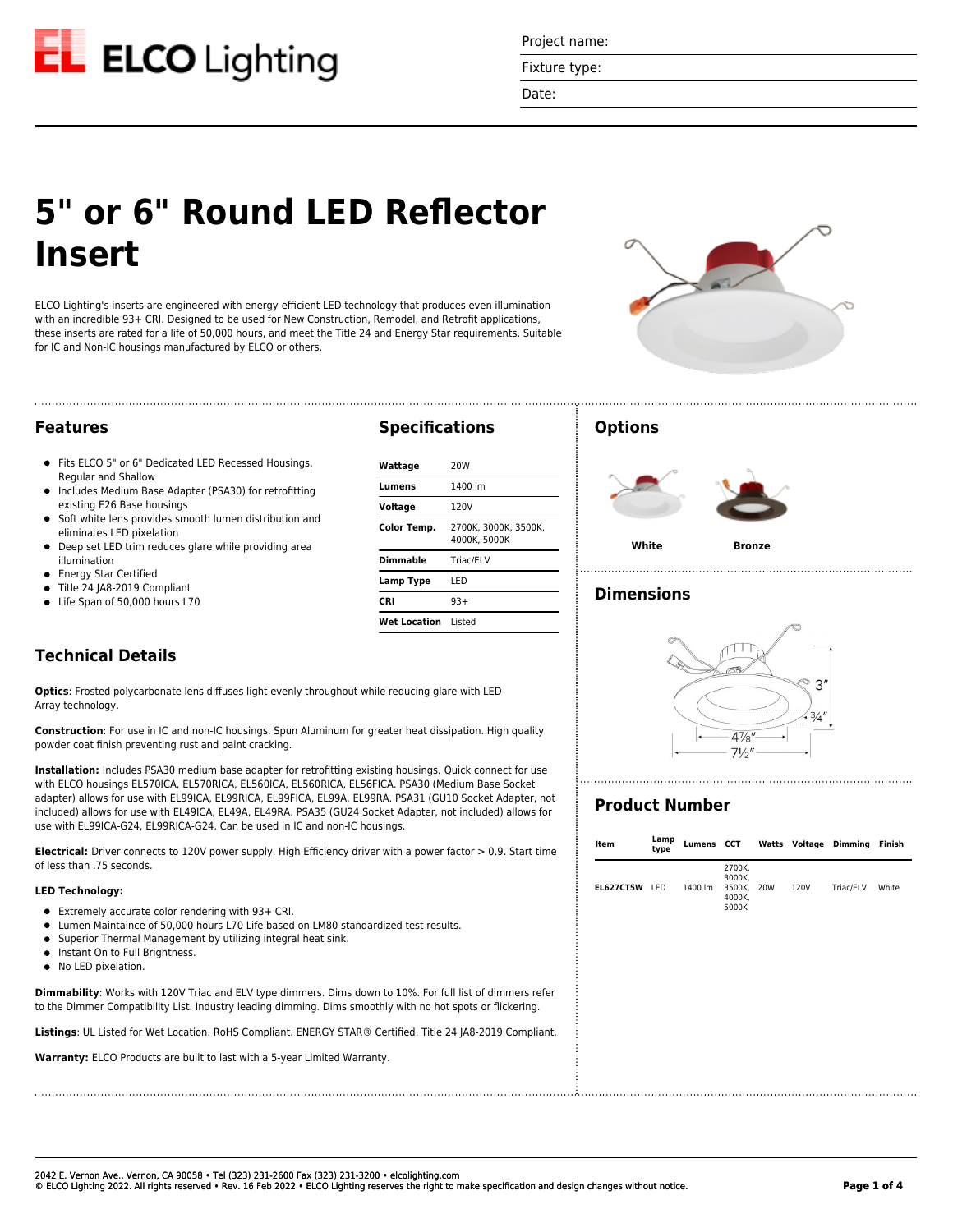

Project name:

Fixture type:

Date:

# **5" or 6" Round LED Reflector Insert**

ELCO Lighting's inserts are engineered with energy-efficient LED technology that produces even illumination with an incredible 93+ CRI. Designed to be used for New Construction, Remodel, and Retrofit applications, these inserts are rated for a life of 50,000 hours, and meet the Title 24 and Energy Star requirements. Suitable for IC and Non-IC housings manufactured by ELCO or others.



### **Features**

- Fits ELCO 5" or 6" Dedicated LED Recessed Housings, Regular and Shallow
- Includes Medium Base Adapter (PSA30) for retrofitting  $\bullet$ existing E26 Base housings
- Soft white lens provides smooth lumen distribution and  $\bullet$ eliminates LED pixelation
- Deep set LED trim reduces glare while providing area illumination
- Energy Star Certified
- Title 24 JA8-2019 Compliant
- Life Span of 50,000 hours L70

# **Specifications**

| Wattaɑe            | 20 <sub>W</sub>                      |
|--------------------|--------------------------------------|
| Lumens             | 1400 lm                              |
| Voltage            | 120V                                 |
| <b>Color Temp.</b> | 2700K. 3000K. 3500K.<br>4000K. 5000K |
| <b>Dimmable</b>    | Triac/ELV                            |
| Lamp Type          | I FD                                 |
| <b>CRI</b>         | $93+$                                |
| Wet Location       | hetai I                              |

### **Options**



### **Dimensions**

# **Technical Details**

**Optics**: Frosted polycarbonate lens diffuses light evenly throughout while reducing glare with LED Array technology.

**Construction**: For use in IC and non-IC housings. Spun Aluminum for greater heat dissipation. High quality powder coat finish preventing rust and paint cracking.

**Installation:** Includes PSA30 medium base adapter for retrofitting existing housings. Quick connect for use with ELCO housings EL570ICA, EL570RICA, EL560ICA, EL560RICA, EL56FICA. PSA30 (Medium Base Socket adapter) allows for use with EL99ICA, EL99RICA, EL99FICA, EL99A, EL99RA. PSA31 (GU10 Socket Adapter, not included) allows for use with EL49ICA, EL49A, EL49RA. PSA35 (GU24 Socket Adapter, not included) allows for use with EL99ICA-G24, EL99RICA-G24. Can be used in IC and non-IC housings.

**Electrical:** Driver connects to 120V power supply. High Efficiency driver with a power factor > 0.9. Start time of less than .75 seconds.

#### **LED Technology:**

- Extremely accurate color rendering with 93+ CRI.
- Lumen Maintaince of 50,000 hours L70 Life based on LM80 standardized test results.
- Superior Thermal Management by utilizing integral heat sink.  $\bullet$
- Instant On to Full Brightness.
- No LED pixelation.

**Dimmability**: Works with 120V Triac and ELV type dimmers. Dims down to 10%. For full list of dimmers refer to the Dimmer Compatibility List. Industry leading dimming. Dims smoothly with no hot spots or flickering.

**Listings**: UL Listed for Wet Location. RoHS Compliant. ENERGY STAR® Certified. Title 24 JA8-2019 Compliant.

**Warranty:** ELCO Products are built to last with a 5-year Limited Warranty.



# **Product Number**

| Item          | Lamp<br>type |         |                                                   |      | Lumens CCT Watts Voltage Dimming Finish |       |
|---------------|--------------|---------|---------------------------------------------------|------|-----------------------------------------|-------|
| EL627CT5W LED |              | 1400 lm | 2700K,<br>3000K,<br>3500K, 20W<br>4000K,<br>5000K | 120V | Triac/ELV                               | White |
|               |              |         |                                                   |      |                                         |       |
|               |              |         |                                                   |      |                                         |       |
|               |              |         |                                                   |      |                                         |       |
|               |              |         |                                                   |      |                                         |       |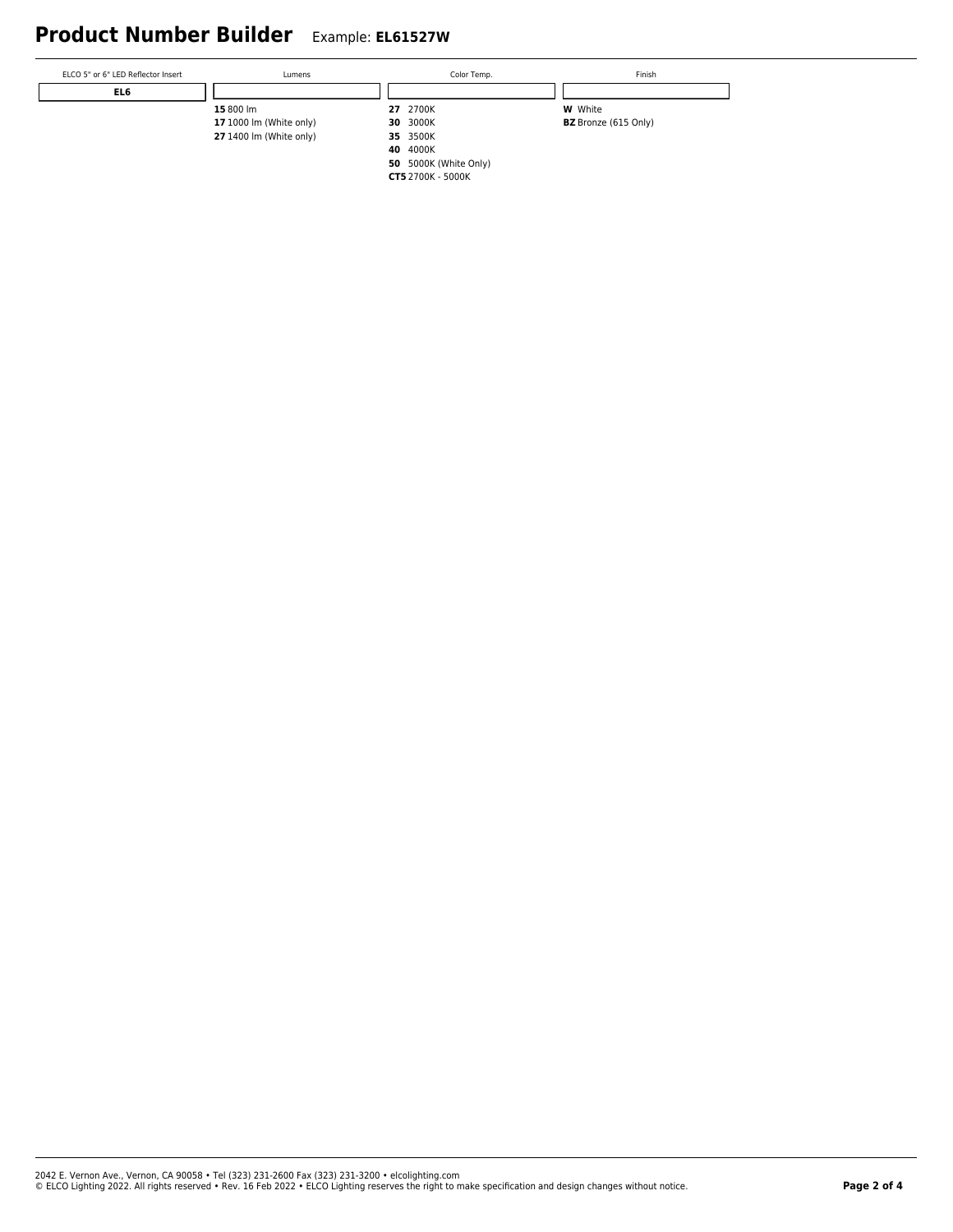# **Product Number Builder** Example: **EL61527W**

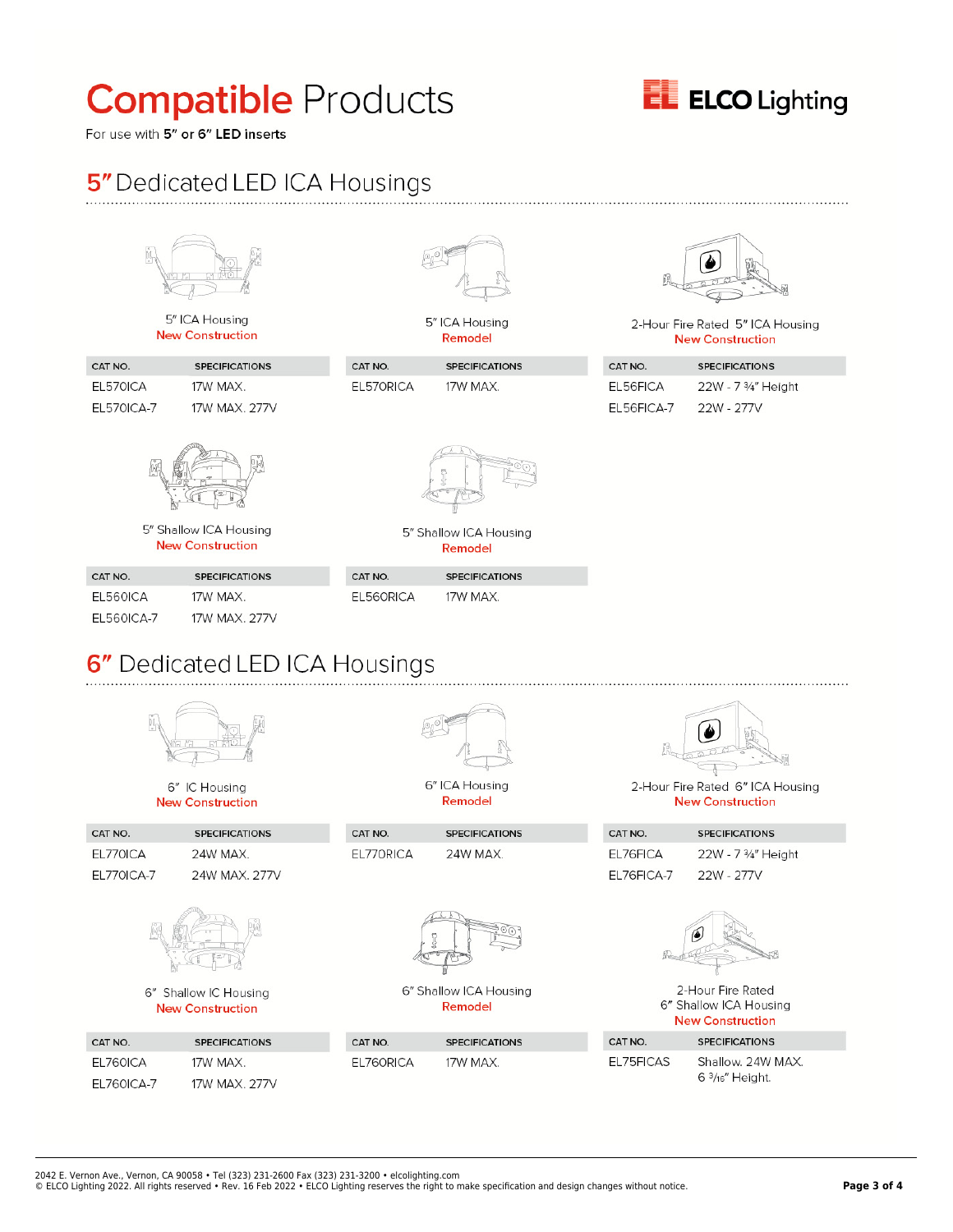# **Compatible Products**



For use with 5" or 6" LED inserts

CAT NO.

CAT NO.

EL760ICA

EL760ICA-7

EL770ICA

EL770ICA-7

# 5" Dedicated LED ICA Housings

|                               | Ů,<br>5" ICA Housing                              |           | 5" ICA Housing                    |            | 2-Hour Fire Rated 5" ICA Housing |
|-------------------------------|---------------------------------------------------|-----------|-----------------------------------|------------|----------------------------------|
|                               | <b>New Construction</b>                           |           | Remodel                           |            | <b>New Construction</b>          |
| CAT NO.                       | <b>SPECIFICATIONS</b>                             | CAT NO.   | <b>SPECIFICATIONS</b>             | CAT NO.    | <b>SPECIFICATIONS</b>            |
| EL570ICA                      | 17W MAX.                                          | EL570RICA | 17W MAX.                          | EL56FICA   | 22W - 7 3/4" Height              |
| <b>EL570ICA-7</b>             | 17W MAX, 277V                                     |           |                                   | EL56FICA-7 | 22W - 277V                       |
|                               | 5" Shallow ICA Housing<br><b>New Construction</b> |           | 5" Shallow ICA Housing<br>Remodel |            |                                  |
| CAT NO.                       | <b>SPECIFICATIONS</b>                             | CAT NO.   | <b>SPECIFICATIONS</b>             |            |                                  |
| EL560ICA                      | 17W MAX.                                          | EL560RICA | 17W MAX.                          |            |                                  |
| <b>EL560ICA-7</b>             | 17W MAX, 277V                                     |           |                                   |            |                                  |
| 6" Dedicated LED ICA Housings |                                                   |           |                                   |            |                                  |
|                               | Ņ.                                                |           |                                   |            |                                  |
|                               | 6" IC Housing                                     |           | 6" ICA Housing<br>Remodel         |            | 2-Hour Fire Rated 6" ICA Housing |
|                               | <b>New Construction</b>                           |           |                                   |            | <b>New Construction</b>          |

**SPECIFICATIONS** 

24W MAX.

6" Shallow ICA Housing

Remodel

**SPECIFICATIONS** 

17W MAX.

| CAT NO.    | <b>SPECIFICATIONS</b> |
|------------|-----------------------|
| EL76FICA   | 22W - 7 3/4" Height   |
| EL76FICA-7 | 22W - 277V            |



2-Hour Fire Rated 6" Shallow ICA Housing **New Construction** 

| CAT NO.   | <b>SPECIFICATIONS</b>                        |  |  |
|-----------|----------------------------------------------|--|--|
| EL75FICAS | Shallow, 24W MAX.<br>$6\frac{3}{16}$ Height. |  |  |

2042 E. Vernon Ave., Vernon, CA 90058 • Tel (323) 231-2600 Fax (323) 231-3200 • elcolighting.com

**SPECIFICATIONS** 

24W MAX. 277V

24W MAX.

6" Shallow IC Housing

**New Construction** 

**SPECIFICATIONS** 

17W MAX. 277V

17W MAX.

© ELCO Lighting 2022. All rights reserved • Rev. 16 Feb 2022 • ELCO Lighting reserves the right to make specification and design changes without notice. **Page 3 of 4**

CAT NO.

EL760RICA

CAT NO.

EL770RICA